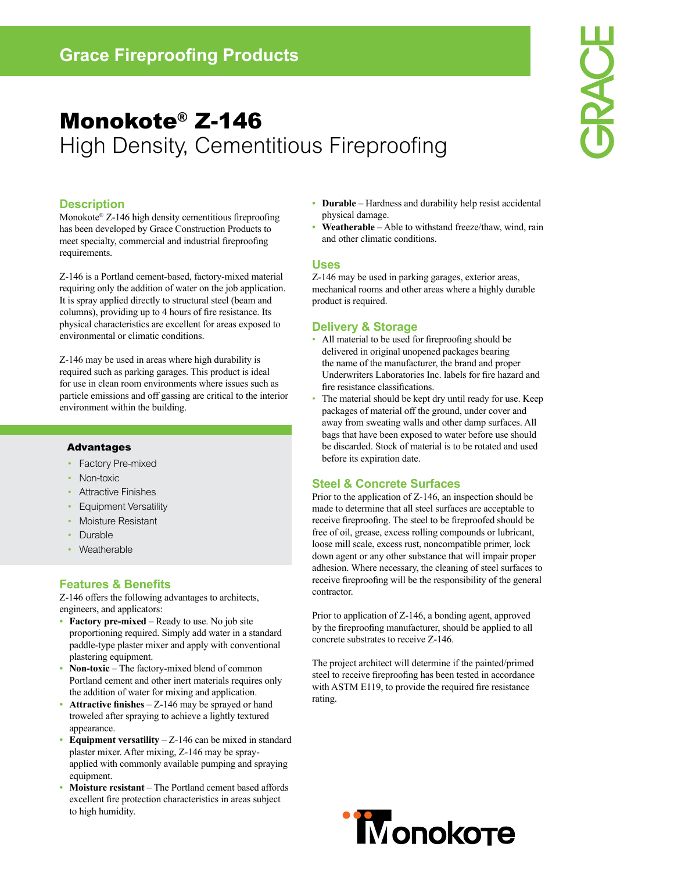# Monokote® Z-146 High Density, Cementitious Fireproofing

#### **Description**

Monokote® Z-146 high density cementitious fireproofing has been developed by Grace Construction Products to meet specialty, commercial and industrial fireproofing requirements.

Z-146 is a Portland cement-based, factory-mixed material requiring only the addition of water on the job application. It is spray applied directly to structural steel (beam and columns), providing up to 4 hours of fire resistance. Its physical characteristics are excellent for areas exposed to environmental or climatic conditions.

Z-146 may be used in areas where high durability is required such as parking garages. This product is ideal for use in clean room environments where issues such as particle emissions and off gassing are critical to the interior environment within the building.

#### Advantages

- Factory Pre-mixed •
- Non-toxic •
- Attractive Finishes •
- Equipment Versatility •
- Moisture Resistant •
- Durable •
- Weatherable •

#### **Features & Benefits**

Z-146 offers the following advantages to architects, engineers, and applicators:

- **Factory pre-mixed** Ready to use. No job site proportioning required. Simply add water in a standard paddle-type plaster mixer and apply with conventional plastering equipment.
- **Non-toxic**  The factory-mixed blend of common Portland cement and other inert materials requires only the addition of water for mixing and application. **•**
- **Attractive finishes** Z-146 may be sprayed or hand troweled after spraying to achieve a lightly textured appearance. **•**
- **Equipment versatility** Z-146 can be mixed in standard plaster mixer. After mixing, Z-146 may be sprayapplied with commonly available pumping and spraying equipment. **•**
- **Moisture resistant** The Portland cement based affords excellent fire protection characteristics in areas subject to high humidity. **•**
- **Durable** Hardness and durability help resist accidental physical damage.
- **Weatherable** Able to withstand freeze/thaw, wind, rain and other climatic conditions. **•**

#### **Uses**

Z-146 may be used in parking garages, exterior areas, mechanical rooms and other areas where a highly durable product is required.

#### **Delivery & Storage**

- All material to be used for fireproofing should be delivered in original unopened packages bearing the name of the manufacturer, the brand and proper Underwriters Laboratories Inc. labels for fire hazard and fire resistance classifications.
- The material should be kept dry until ready for use. Keep packages of material off the ground, under cover and away from sweating walls and other damp surfaces. All bags that have been exposed to water before use should be discarded. Stock of material is to be rotated and used before its expiration date. •

#### **Steel & Concrete Surfaces**

Prior to the application of Z-146, an inspection should be made to determine that all steel surfaces are acceptable to receive fireproofing. The steel to be fireproofed should be free of oil, grease, excess rolling compounds or lubricant, loose mill scale, excess rust, noncompatible primer, lock down agent or any other substance that will impair proper adhesion. Where necessary, the cleaning of steel surfaces to receive fireproofing will be the responsibility of the general contractor.

Prior to application of Z-146, a bonding agent, approved by the fireproofing manufacturer, should be applied to all concrete substrates to receive Z-146.

The project architect will determine if the painted/primed steel to receive fireproofing has been tested in accordance with ASTM E119, to provide the required fire resistance rating.